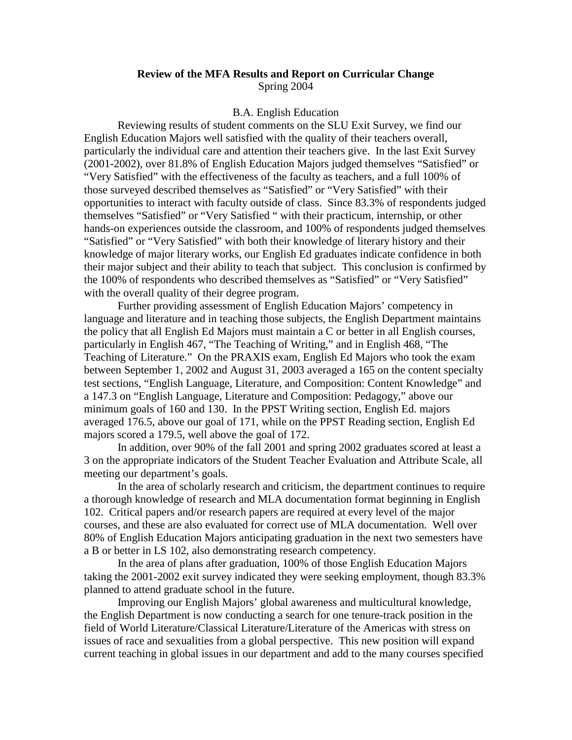## **Review of the MFA Results and Report on Curricular Change**  Spring 2004

## B.A. English Education

 Reviewing results of student comments on the SLU Exit Survey, we find our English Education Majors well satisfied with the quality of their teachers overall, particularly the individual care and attention their teachers give. In the last Exit Survey (2001-2002), over 81.8% of English Education Majors judged themselves "Satisfied" or "Very Satisfied" with the effectiveness of the faculty as teachers, and a full 100% of those surveyed described themselves as "Satisfied" or "Very Satisfied" with their opportunities to interact with faculty outside of class. Since 83.3% of respondents judged themselves "Satisfied" or "Very Satisfied " with their practicum, internship, or other hands-on experiences outside the classroom, and 100% of respondents judged themselves "Satisfied" or "Very Satisfied" with both their knowledge of literary history and their knowledge of major literary works, our English Ed graduates indicate confidence in both their major subject and their ability to teach that subject. This conclusion is confirmed by the 100% of respondents who described themselves as "Satisfied" or "Very Satisfied" with the overall quality of their degree program.

Further providing assessment of English Education Majors' competency in language and literature and in teaching those subjects, the English Department maintains the policy that all English Ed Majors must maintain a C or better in all English courses, particularly in English 467, "The Teaching of Writing," and in English 468, "The Teaching of Literature." On the PRAXIS exam, English Ed Majors who took the exam between September 1, 2002 and August 31, 2003 averaged a 165 on the content specialty test sections, "English Language, Literature, and Composition: Content Knowledge" and a 147.3 on "English Language, Literature and Composition: Pedagogy," above our minimum goals of 160 and 130. In the PPST Writing section, English Ed. majors averaged 176.5, above our goal of 171, while on the PPST Reading section, English Ed majors scored a 179.5, well above the goal of 172.

In addition, over 90% of the fall 2001 and spring 2002 graduates scored at least a 3 on the appropriate indicators of the Student Teacher Evaluation and Attribute Scale, all meeting our department's goals.

 In the area of scholarly research and criticism, the department continues to require a thorough knowledge of research and MLA documentation format beginning in English 102. Critical papers and/or research papers are required at every level of the major courses, and these are also evaluated for correct use of MLA documentation. Well over 80% of English Education Majors anticipating graduation in the next two semesters have a B or better in LS 102, also demonstrating research competency.

 In the area of plans after graduation, 100% of those English Education Majors taking the 2001-2002 exit survey indicated they were seeking employment, though 83.3% planned to attend graduate school in the future.

 Improving our English Majors' global awareness and multicultural knowledge, the English Department is now conducting a search for one tenure-track position in the field of World Literature/Classical Literature/Literature of the Americas with stress on issues of race and sexualities from a global perspective. This new position will expand current teaching in global issues in our department and add to the many courses specified